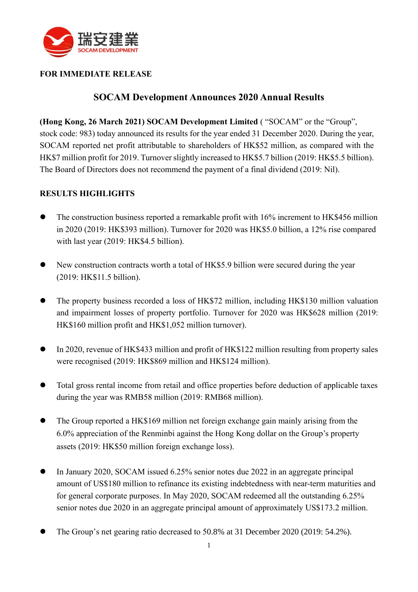

#### **FOR IMMEDIATE RELEASE**

# **SOCAM Development Announces 2020 Annual Results**

**(Hong Kong, 26 March 2021) SOCAM Development Limited** ( "SOCAM" or the "Group", stock code: 983) today announced its results for the year ended 31 December 2020. During the year, SOCAM reported net profit attributable to shareholders of HK\$52 million, as compared with the HK\$7 million profit for 2019. Turnover slightly increased to HK\$5.7 billion (2019: HK\$5.5 billion). The Board of Directors does not recommend the payment of a final dividend (2019: Nil).

#### **RESULTS HIGHLIGHTS**

- The construction business reported a remarkable profit with 16% increment to HK\$456 million in 2020 (2019: HK\$393 million). Turnover for 2020 was HK\$5.0 billion, a 12% rise compared with last year (2019: HK\$4.5 billion).
- ⚫ New construction contracts worth a total of HK\$5.9 billion were secured during the year (2019: HK\$11.5 billion).
- ⚫ The property business recorded a loss of HK\$72 million, including HK\$130 million valuation and impairment losses of property portfolio. Turnover for 2020 was HK\$628 million (2019: HK\$160 million profit and HK\$1,052 million turnover).
- ⚫ In 2020, revenue of HK\$433 million and profit of HK\$122 million resulting from property sales were recognised (2019: HK\$869 million and HK\$124 million).
- ⚫ Total gross rental income from retail and office properties before deduction of applicable taxes during the year was RMB58 million (2019: RMB68 million).
- The Group reported a HK\$169 million net foreign exchange gain mainly arising from the 6.0% appreciation of the Renminbi against the Hong Kong dollar on the Group's property assets (2019: HK\$50 million foreign exchange loss).
- ⚫ In January 2020, SOCAM issued 6.25% senior notes due 2022 in an aggregate principal amount of US\$180 million to refinance its existing indebtedness with near-term maturities and for general corporate purposes. In May 2020, SOCAM redeemed all the outstanding 6.25% senior notes due 2020 in an aggregate principal amount of approximately US\$173.2 million.
- ⚫ The Group's net gearing ratio decreased to 50.8% at 31 December 2020 (2019: 54.2%).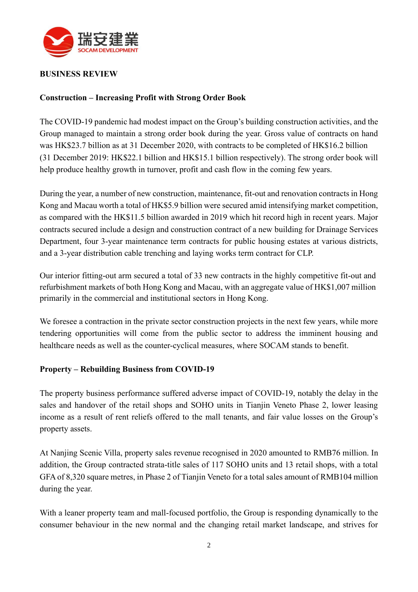

#### **BUSINESS REVIEW**

#### **Construction – Increasing Profit with Strong Order Book**

The COVID-19 pandemic had modest impact on the Group's building construction activities, and the Group managed to maintain a strong order book during the year. Gross value of contracts on hand was HK\$23.7 billion as at 31 December 2020, with contracts to be completed of HK\$16.2 billion (31 December 2019: HK\$22.1 billion and HK\$15.1 billion respectively). The strong order book will help produce healthy growth in turnover, profit and cash flow in the coming few years.

During the year, a number of new construction, maintenance, fit-out and renovation contracts in Hong Kong and Macau worth a total of HK\$5.9 billion were secured amid intensifying market competition, as compared with the HK\$11.5 billion awarded in 2019 which hit record high in recent years. Major contracts secured include a design and construction contract of a new building for Drainage Services Department, four 3-year maintenance term contracts for public housing estates at various districts, and a 3-year distribution cable trenching and laying works term contract for CLP.

Our interior fitting-out arm secured a total of 33 new contracts in the highly competitive fit-out and refurbishment markets of both Hong Kong and Macau, with an aggregate value of HK\$1,007 million primarily in the commercial and institutional sectors in Hong Kong.

We foresee a contraction in the private sector construction projects in the next few years, while more tendering opportunities will come from the public sector to address the imminent housing and healthcare needs as well as the counter-cyclical measures, where SOCAM stands to benefit.

#### **Property – Rebuilding Business from COVID-19**

The property business performance suffered adverse impact of COVID-19, notably the delay in the sales and handover of the retail shops and SOHO units in Tianjin Veneto Phase 2, lower leasing income as a result of rent reliefs offered to the mall tenants, and fair value losses on the Group's property assets.

At Nanjing Scenic Villa, property sales revenue recognised in 2020 amounted to RMB76 million. In addition, the Group contracted strata-title sales of 117 SOHO units and 13 retail shops, with a total GFA of 8,320 square metres, in Phase 2 of Tianjin Veneto for a total sales amount of RMB104 million during the year.

With a leaner property team and mall-focused portfolio, the Group is responding dynamically to the consumer behaviour in the new normal and the changing retail market landscape, and strives for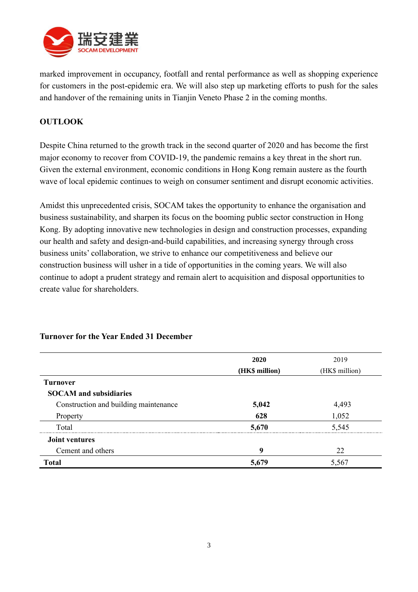

marked improvement in occupancy, footfall and rental performance as well as shopping experience for customers in the post-epidemic era. We will also step up marketing efforts to push for the sales and handover of the remaining units in Tianjin Veneto Phase 2 in the coming months.

### **OUTLOOK**

Despite China returned to the growth track in the second quarter of 2020 and has become the first major economy to recover from COVID-19, the pandemic remains a key threat in the short run. Given the external environment, economic conditions in Hong Kong remain austere as the fourth wave of local epidemic continues to weigh on consumer sentiment and disrupt economic activities.

Amidst this unprecedented crisis, SOCAM takes the opportunity to enhance the organisation and business sustainability, and sharpen its focus on the booming public sector construction in Hong Kong. By adopting innovative new technologies in design and construction processes, expanding our health and safety and design-and-build capabilities, and increasing synergy through cross business units' collaboration, we strive to enhance our competitiveness and believe our construction business will usher in a tide of opportunities in the coming years. We will also continue to adopt a prudent strategy and remain alert to acquisition and disposal opportunities to create value for shareholders.

|                                       | 2020           | 2019           |
|---------------------------------------|----------------|----------------|
|                                       | (HK\$ million) | (HK\$ million) |
| <b>Turnover</b>                       |                |                |
| <b>SOCAM</b> and subsidiaries         |                |                |
| Construction and building maintenance | 5,042          | 4,493          |
| Property                              | 628            | 1,052          |
| Total                                 | 5,670          | 5,545          |
| <b>Joint ventures</b>                 |                |                |
| Cement and others                     | 9              | 22             |
| <b>Total</b>                          | 5,679          | 5,567          |

## **Turnover for the Year Ended 31 December**